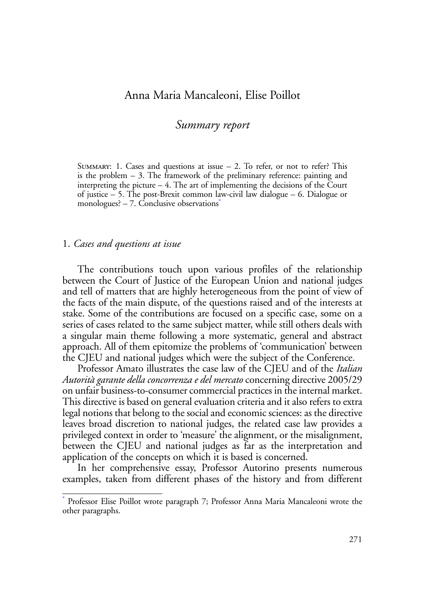# Anna Maria Mancaleoni, Elise Poillot

# *Summary report*

SUMMARY: 1. Cases and questions at issue  $-2$ . To refer, or not to refer? This is the problem  $-3$ . The framework of the preliminary reference: painting and interpreting the picture – 4. The art of implementing the decisions of the Court of justice – 5. The post-Brexit common law-civil law dialogue – 6. Dialogue or monologues?  $-7$ . Conclusive observations $*$ 

#### 1. *Cases and questions at issue*

The contributions touch upon various profiles of the relationship between the Court of Justice of the European Union and national judges and tell of matters that are highly heterogeneous from the point of view of the facts of the main dispute, of the questions raised and of the interests at stake. Some of the contributions are focused on a specific case, some on a series of cases related to the same subject matter, while still others deals with a singular main theme following a more systematic, general and abstract approach. All of them epitomize the problems of 'communication' between the CJEU and national judges which were the subject of the Conference.

Professor Amato illustrates the case law of the CJEU and of the *Italian Autorità garante della concorrenza e del mercato* concerning directive 2005/29 on unfair business-to-consumer commercial practices in the internal market. This directive is based on general evaluation criteria and it also refers to extra legal notions that belong to the social and economic sciences: as the directive leaves broad discretion to national judges, the related case law provides a privileged context in order to 'measure' the alignment, or the misalignment, between the CJEU and national judges as far as the interpretation and application of the concepts on which it is based is concerned.

In her comprehensive essay, Professor Autorino presents numerous examples, taken from different phases of the history and from different

<sup>\*</sup> Professor Elise Poillot wrote paragraph 7; Professor Anna Maria Mancaleoni wrote the other paragraphs.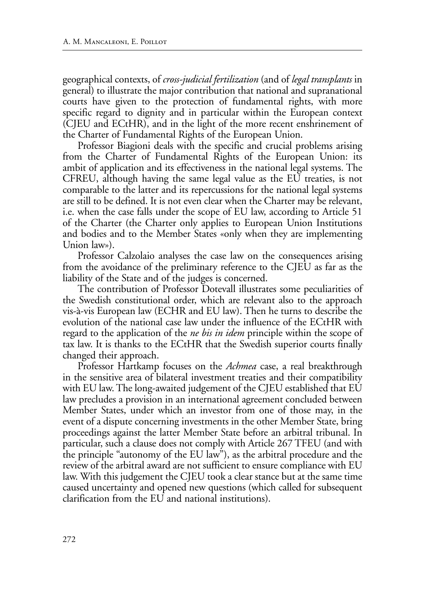geographical contexts, of *cross-judicial fertilization* (and of *legal transplants* in general) to illustrate the major contribution that national and supranational courts have given to the protection of fundamental rights, with more specific regard to dignity and in particular within the European context (CJEU and ECtHR), and in the light of the more recent enshrinement of the Charter of Fundamental Rights of the European Union.

Professor Biagioni deals with the specific and crucial problems arising from the Charter of Fundamental Rights of the European Union: its ambit of application and its effectiveness in the national legal systems. The CFREU, although having the same legal value as the EU treaties, is not comparable to the latter and its repercussions for the national legal systems are still to be defined. It is not even clear when the Charter may be relevant, i.e. when the case falls under the scope of EU law, according to Article 51 of the Charter (the Charter only applies to European Union Institutions and bodies and to the Member States «only when they are implementing Union law»).

Professor Calzolaio analyses the case law on the consequences arising from the avoidance of the preliminary reference to the CJEU as far as the liability of the State and of the judges is concerned.

The contribution of Professor Dotevall illustrates some peculiarities of the Swedish constitutional order, which are relevant also to the approach vis-à-vis European law (ECHR and EU law). Then he turns to describe the evolution of the national case law under the influence of the ECtHR with regard to the application of the *ne bis in idem* principle within the scope of tax law. It is thanks to the ECtHR that the Swedish superior courts finally changed their approach.

Professor Hartkamp focuses on the *Achmea* case, a real breakthrough in the sensitive area of bilateral investment treaties and their compatibility with EU law. The long-awaited judgement of the CJEU established that EU law precludes a provision in an international agreement concluded between Member States, under which an investor from one of those may, in the event of a dispute concerning investments in the other Member State, bring proceedings against the latter Member State before an arbitral tribunal. In particular, such a clause does not comply with Article 267 TFEU (and with the principle "autonomy of the EU law"), as the arbitral procedure and the review of the arbitral award are not sufficient to ensure compliance with EU law. With this judgement the CJEU took a clear stance but at the same time caused uncertainty and opened new questions (which called for subsequent clarification from the EU and national institutions).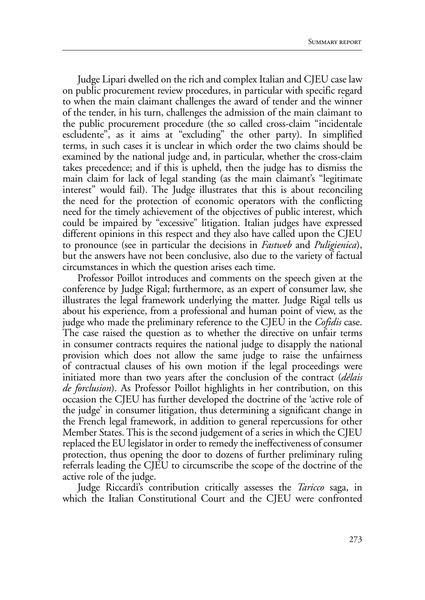Judge Lipari dwelled on the rich and complex Italian and CJEU case law on public procurement review procedures, in particular with specific regard to when the main claimant challenges the award of tender and the winner of the tender, in his turn, challenges the admission of the main claimant to the public procurement procedure (the so called cross-claim "incidentale escludente", as it aims at "excluding" the other party). In simplified terms, in such cases it is unclear in which order the two claims should be examined by the national judge and, in particular, whether the cross-claim takes precedence; and if this is upheld, then the judge has to dismiss the main claim for lack of legal standing (as the main claimant's "legitimate interest" would fail). The Judge illustrates that this is about reconciling the need for the protection of economic operators with the conflicting need for the timely achievement of the objectives of public interest, which could be impaired by "excessive" litigation. Italian judges have expressed different opinions in this respect and they also have called upon the CJEU to pronounce (see in particular the decisions in *Fastweb* and *Puligienica*), but the answers have not been conclusive, also due to the variety of factual circumstances in which the question arises each time.

Professor Poillot introduces and comments on the speech given at the conference by Judge Rigal; furthermore, as an expert of consumer law, she illustrates the legal framework underlying the matter. Judge Rigal tells us about his experience, from a professional and human point of view, as the judge who made the preliminary reference to the CJEU in the *Cofidis* case. The case raised the question as to whether the directive on unfair terms in consumer contracts requires the national judge to disapply the national provision which does not allow the same judge to raise the unfairness of contractual clauses of his own motion if the legal proceedings were initiated more than two years after the conclusion of the contract (*délais de forclusion*). As Professor Poillot highlights in her contribution, on this occasion the CJEU has further developed the doctrine of the 'active role of the judge' in consumer litigation, thus determining a significant change in the French legal framework, in addition to general repercussions for other Member States. This is the second judgement of a series in which the CJEU replaced the EU legislator in order to remedy the ineffectiveness of consumer protection, thus opening the door to dozens of further preliminary ruling referrals leading the CJEU to circumscribe the scope of the doctrine of the active role of the judge.

Judge Riccardi's contribution critically assesses the *Taricco* saga, in which the Italian Constitutional Court and the CJEU were confronted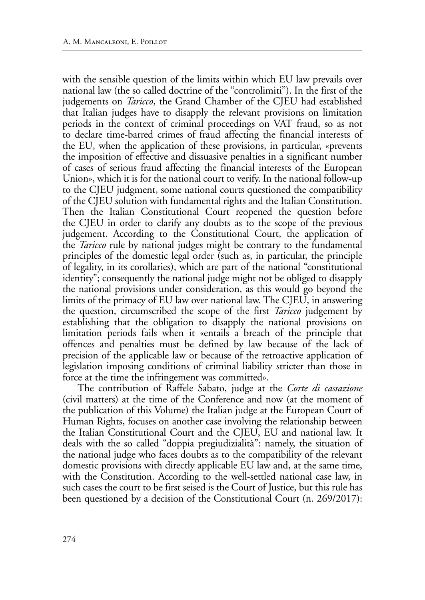with the sensible question of the limits within which EU law prevails over national law (the so called doctrine of the "controlimiti"). In the first of the judgements on *Taricco*, the Grand Chamber of the CJEU had established that Italian judges have to disapply the relevant provisions on limitation periods in the context of criminal proceedings on VAT fraud, so as not to declare time-barred crimes of fraud affecting the financial interests of the EU, when the application of these provisions, in particular, «prevents the imposition of effective and dissuasive penalties in a significant number of cases of serious fraud affecting the financial interests of the European Union», which it is for the national court to verify. In the national follow-up to the CJEU judgment, some national courts questioned the compatibility of the CJEU solution with fundamental rights and the Italian Constitution. Then the Italian Constitutional Court reopened the question before the CJEU in order to clarify any doubts as to the scope of the previous judgement. According to the Constitutional Court, the application of the *Taricco* rule by national judges might be contrary to the fundamental principles of the domestic legal order (such as, in particular, the principle of legality, in its corollaries), which are part of the national "constitutional identity"; consequently the national judge might not be obliged to disapply the national provisions under consideration, as this would go beyond the limits of the primacy of EU law over national law. The CJEU, in answering the question, circumscribed the scope of the first *Taricco* judgement by establishing that the obligation to disapply the national provisions on limitation periods fails when it «entails a breach of the principle that offences and penalties must be defined by law because of the lack of precision of the applicable law or because of the retroactive application of legislation imposing conditions of criminal liability stricter than those in force at the time the infringement was committed».

The contribution of Raffele Sabato, judge at the *Corte di cassazione* (civil matters) at the time of the Conference and now (at the moment of the publication of this Volume) the Italian judge at the European Court of Human Rights, focuses on another case involving the relationship between the Italian Constitutional Court and the CJEU, EU and national law. It deals with the so called "doppia pregiudizialità": namely, the situation of the national judge who faces doubts as to the compatibility of the relevant domestic provisions with directly applicable EU law and, at the same time, with the Constitution. According to the well-settled national case law, in such cases the court to be first seised is the Court of Justice, but this rule has been questioned by a decision of the Constitutional Court (n. 269/2017):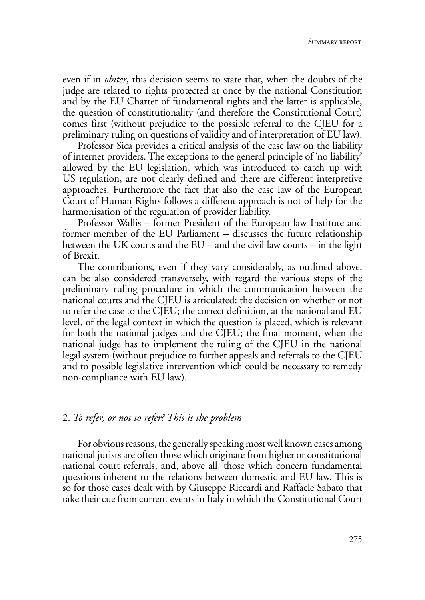even if in *obiter*, this decision seems to state that, when the doubts of the judge are related to rights protected at once by the national Constitution and by the EU Charter of fundamental rights and the latter is applicable, the question of constitutionality (and therefore the Constitutional Court) comes first (without prejudice to the possible referral to the CJEU for a preliminary ruling on questions of validity and of interpretation of EU law).

Professor Sica provides a critical analysis of the case law on the liability of internet providers. The exceptions to the general principle of 'no liability' allowed by the EU legislation, which was introduced to catch up with US regulation, are not clearly defined and there are different interpretive approaches. Furthermore the fact that also the case law of the European Court of Human Rights follows a different approach is not of help for the harmonisation of the regulation of provider liability.

Professor Wallis – former President of the European law Institute and former member of the EU Parliament – discusses the future relationship between the UK courts and the EU – and the civil law courts – in the light of Brexit.

The contributions, even if they vary considerably, as outlined above, can be also considered transversely, with regard the various steps of the preliminary ruling procedure in which the communication between the national courts and the CJEU is articulated: the decision on whether or not to refer the case to the CJEU; the correct definition, at the national and EU level, of the legal context in which the question is placed, which is relevant for both the national judges and the CJEU; the final moment, when the national judge has to implement the ruling of the CJEU in the national legal system (without prejudice to further appeals and referrals to the CJEU and to possible legislative intervention which could be necessary to remedy non-compliance with EU law).

#### 2. *To refer, or not to refer? This is the problem*

For obvious reasons, the generally speaking most well known cases among national jurists are often those which originate from higher or constitutional national court referrals, and, above all, those which concern fundamental questions inherent to the relations between domestic and EU law. This is so for those cases dealt with by Giuseppe Riccardi and Raffaele Sabato that take their cue from current events in Italy in which the Constitutional Court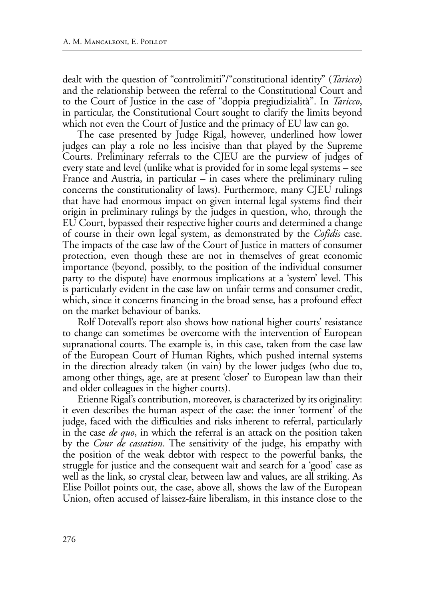dealt with the question of "controlimiti"/"constitutional identity" (*Taricco*) and the relationship between the referral to the Constitutional Court and to the Court of Justice in the case of "doppia pregiudizialità". In *Taricco*, in particular, the Constitutional Court sought to clarify the limits beyond which not even the Court of Justice and the primacy of EU law can go.

The case presented by Judge Rigal, however, underlined how lower judges can play a role no less incisive than that played by the Supreme Courts. Preliminary referrals to the CJEU are the purview of judges of every state and level (unlike what is provided for in some legal systems – see France and Austria, in particular – in cases where the preliminary ruling concerns the constitutionality of laws). Furthermore, many CJEU rulings that have had enormous impact on given internal legal systems find their origin in preliminary rulings by the judges in question, who, through the EU Court, bypassed their respective higher courts and determined a change of course in their own legal system, as demonstrated by the *Cofidis* case. The impacts of the case law of the Court of Justice in matters of consumer protection, even though these are not in themselves of great economic importance (beyond, possibly, to the position of the individual consumer party to the dispute) have enormous implications at a 'system' level. This is particularly evident in the case law on unfair terms and consumer credit, which, since it concerns financing in the broad sense, has a profound effect on the market behaviour of banks.

Rolf Dotevall's report also shows how national higher courts' resistance to change can sometimes be overcome with the intervention of European supranational courts. The example is, in this case, taken from the case law of the European Court of Human Rights, which pushed internal systems in the direction already taken (in vain) by the lower judges (who due to, among other things, age, are at present 'closer' to European law than their and older colleagues in the higher courts).

Etienne Rigal's contribution, moreover, is characterized by its originality: it even describes the human aspect of the case: the inner 'torment' of the judge, faced with the difficulties and risks inherent to referral, particularly in the case *de quo*, in which the referral is an attack on the position taken by the *Cour de cassation*. The sensitivity of the judge, his empathy with the position of the weak debtor with respect to the powerful banks, the struggle for justice and the consequent wait and search for a 'good' case as well as the link, so crystal clear, between law and values, are all striking. As Elise Poillot points out, the case, above all, shows the law of the European Union, often accused of laissez-faire liberalism, in this instance close to the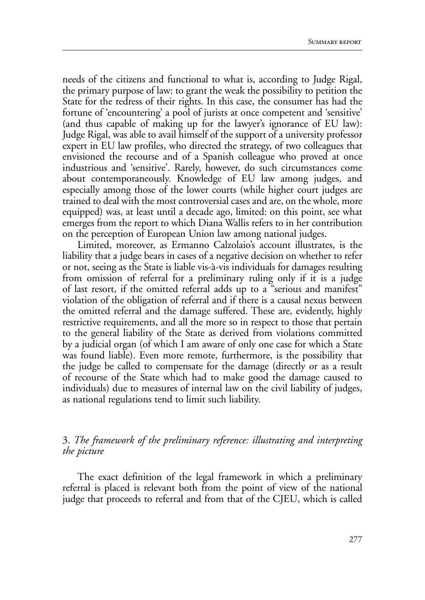needs of the citizens and functional to what is, according to Judge Rigal, the primary purpose of law: to grant the weak the possibility to petition the State for the redress of their rights. In this case, the consumer has had the fortune of 'encountering' a pool of jurists at once competent and 'sensitive' (and thus capable of making up for the lawyer's ignorance of EU law): Judge Rigal, was able to avail himself of the support of a university professor expert in EU law profiles, who directed the strategy, of two colleagues that envisioned the recourse and of a Spanish colleague who proved at once industrious and 'sensitive'. Rarely, however, do such circumstances come about contemporaneously. Knowledge of EU law among judges, and especially among those of the lower courts (while higher court judges are trained to deal with the most controversial cases and are, on the whole, more equipped) was, at least until a decade ago, limited: on this point, see what emerges from the report to which Diana Wallis refers to in her contribution on the perception of European Union law among national judges.

Limited, moreover, as Ermanno Calzolaio's account illustrates, is the liability that a judge bears in cases of a negative decision on whether to refer or not, seeing as the State is liable vis-à-vis individuals for damages resulting from omission of referral for a preliminary ruling only if it is a judge of last resort, if the omitted referral adds up to a "serious and manifest" violation of the obligation of referral and if there is a causal nexus between the omitted referral and the damage suffered. These are, evidently, highly restrictive requirements, and all the more so in respect to those that pertain to the general liability of the State as derived from violations committed by a judicial organ (of which I am aware of only one case for which a State was found liable). Even more remote, furthermore, is the possibility that the judge be called to compensate for the damage (directly or as a result of recourse of the State which had to make good the damage caused to individuals) due to measures of internal law on the civil liability of judges, as national regulations tend to limit such liability.

### 3. *The framework of the preliminary reference: illustrating and interpreting the picture*

The exact definition of the legal framework in which a preliminary referral is placed is relevant both from the point of view of the national judge that proceeds to referral and from that of the CJEU, which is called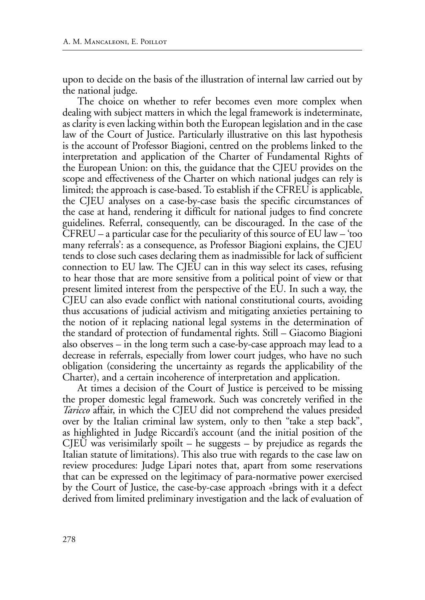upon to decide on the basis of the illustration of internal law carried out by the national judge.

The choice on whether to refer becomes even more complex when dealing with subject matters in which the legal framework is indeterminate, as clarity is even lacking within both the European legislation and in the case law of the Court of Justice. Particularly illustrative on this last hypothesis is the account of Professor Biagioni, centred on the problems linked to the interpretation and application of the Charter of Fundamental Rights of the European Union: on this, the guidance that the CJEU provides on the scope and effectiveness of the Charter on which national judges can rely is limited; the approach is case-based. To establish if the CFREU is applicable, the CJEU analyses on a case-by-case basis the specific circumstances of the case at hand, rendering it difficult for national judges to find concrete guidelines. Referral, consequently, can be discouraged. In the case of the CFREU – a particular case for the peculiarity of this source of EU law – 'too many referrals': as a consequence, as Professor Biagioni explains, the CJEU tends to close such cases declaring them as inadmissible for lack of sufficient connection to EU law. The CJEU can in this way select its cases, refusing to hear those that are more sensitive from a political point of view or that present limited interest from the perspective of the EU. In such a way, the CJEU can also evade conflict with national constitutional courts, avoiding thus accusations of judicial activism and mitigating anxieties pertaining to the notion of it replacing national legal systems in the determination of the standard of protection of fundamental rights. Still – Giacomo Biagioni also observes – in the long term such a case-by-case approach may lead to a decrease in referrals, especially from lower court judges, who have no such obligation (considering the uncertainty as regards the applicability of the Charter), and a certain incoherence of interpretation and application.

At times a decision of the Court of Justice is perceived to be missing the proper domestic legal framework. Such was concretely verified in the *Taricco* affair, in which the CJEU did not comprehend the values presided over by the Italian criminal law system, only to then "take a step back", as highlighted in Judge Riccardi's account (and the initial position of the CJEU was verisimilarly spoilt  $-$  he suggests  $-$  by prejudice as regards the Italian statute of limitations). This also true with regards to the case law on review procedures: Judge Lipari notes that, apart from some reservations that can be expressed on the legitimacy of para-normative power exercised by the Court of Justice, the case-by-case approach «brings with it a defect derived from limited preliminary investigation and the lack of evaluation of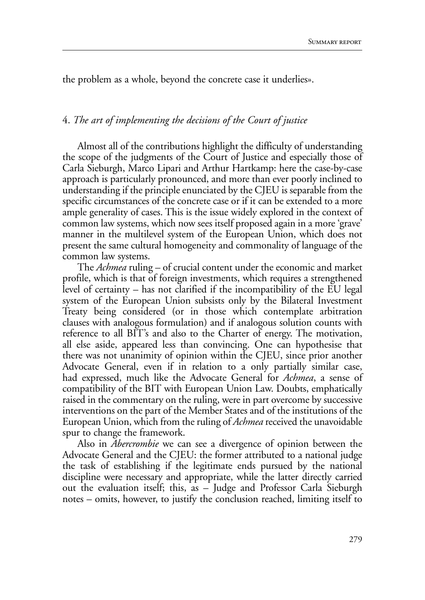the problem as a whole, beyond the concrete case it underlies».

## 4. *The art of implementing the decisions of the Court of justice*

Almost all of the contributions highlight the difficulty of understanding the scope of the judgments of the Court of Justice and especially those of Carla Sieburgh, Marco Lipari and Arthur Hartkamp: here the case-by-case approach is particularly pronounced, and more than ever poorly inclined to understanding if the principle enunciated by the CJEU is separable from the specific circumstances of the concrete case or if it can be extended to a more ample generality of cases. This is the issue widely explored in the context of common law systems, which now sees itself proposed again in a more 'grave' manner in the multilevel system of the European Union, which does not present the same cultural homogeneity and commonality of language of the common law systems.

The *Achmea* ruling – of crucial content under the economic and market profile, which is that of foreign investments, which requires a strengthened level of certainty – has not clarified if the incompatibility of the EU legal system of the European Union subsists only by the Bilateral Investment Treaty being considered (or in those which contemplate arbitration clauses with analogous formulation) and if analogous solution counts with reference to all BIT's and also to the Charter of energy. The motivation, all else aside, appeared less than convincing. One can hypothesise that there was not unanimity of opinion within the CJEU, since prior another Advocate General, even if in relation to a only partially similar case, had expressed, much like the Advocate General for *Achmea*, a sense of compatibility of the BIT with European Union Law. Doubts, emphatically raised in the commentary on the ruling, were in part overcome by successive interventions on the part of the Member States and of the institutions of the European Union, which from the ruling of *Achmea* received the unavoidable spur to change the framework.

Also in *Abercrombie* we can see a divergence of opinion between the Advocate General and the CJEU: the former attributed to a national judge the task of establishing if the legitimate ends pursued by the national discipline were necessary and appropriate, while the latter directly carried out the evaluation itself; this, as – Judge and Professor Carla Sieburgh notes – omits, however, to justify the conclusion reached, limiting itself to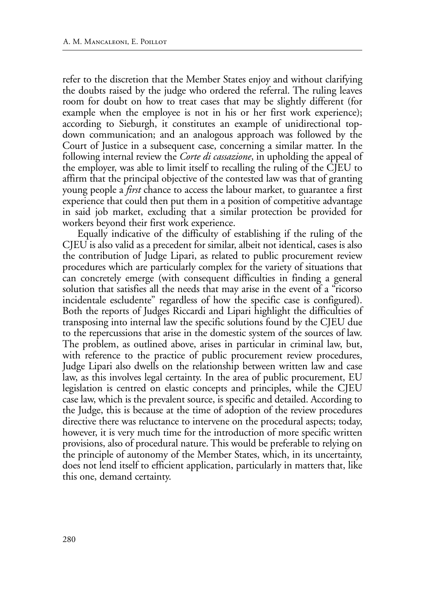refer to the discretion that the Member States enjoy and without clarifying the doubts raised by the judge who ordered the referral. The ruling leaves room for doubt on how to treat cases that may be slightly different (for example when the employee is not in his or her first work experience); according to Sieburgh, it constitutes an example of unidirectional topdown communication; and an analogous approach was followed by the Court of Justice in a subsequent case, concerning a similar matter. In the following internal review the *Corte di cassazione*, in upholding the appeal of the employer, was able to limit itself to recalling the ruling of the CJEU to affirm that the principal objective of the contested law was that of granting young people a *first* chance to access the labour market, to guarantee a first experience that could then put them in a position of competitive advantage in said job market, excluding that a similar protection be provided for workers beyond their first work experience.

Equally indicative of the difficulty of establishing if the ruling of the CJEU is also valid as a precedent for similar, albeit not identical, cases is also the contribution of Judge Lipari, as related to public procurement review procedures which are particularly complex for the variety of situations that can concretely emerge (with consequent difficulties in finding a general solution that satisfies all the needs that may arise in the event of a "ricorso incidentale escludente" regardless of how the specific case is configured). Both the reports of Judges Riccardi and Lipari highlight the difficulties of transposing into internal law the specific solutions found by the CJEU due to the repercussions that arise in the domestic system of the sources of law. The problem, as outlined above, arises in particular in criminal law, but, with reference to the practice of public procurement review procedures, Judge Lipari also dwells on the relationship between written law and case law, as this involves legal certainty. In the area of public procurement, EU legislation is centred on elastic concepts and principles, while the CJEU case law, which is the prevalent source, is specific and detailed. According to the Judge, this is because at the time of adoption of the review procedures directive there was reluctance to intervene on the procedural aspects; today, however, it is very much time for the introduction of more specific written provisions, also of procedural nature. This would be preferable to relying on the principle of autonomy of the Member States, which, in its uncertainty, does not lend itself to efficient application, particularly in matters that, like this one, demand certainty.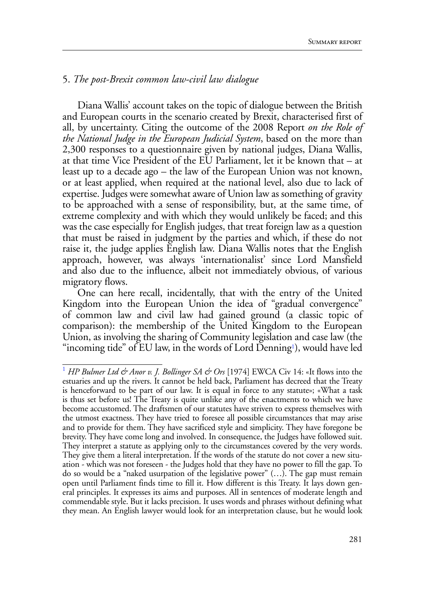### 5. *The post-Brexit common law-civil law dialogue*

Diana Wallis' account takes on the topic of dialogue between the British and European courts in the scenario created by Brexit, characterised first of all, by uncertainty. Citing the outcome of the 2008 Report *on the Role of the National Judge in the European Judicial System*, based on the more than 2,300 responses to a questionnaire given by national judges, Diana Wallis, at that time Vice President of the EU Parliament, let it be known that – at least up to a decade ago – the law of the European Union was not known, or at least applied, when required at the national level, also due to lack of expertise. Judges were somewhat aware of Union law as something of gravity to be approached with a sense of responsibility, but, at the same time, of extreme complexity and with which they would unlikely be faced; and this was the case especially for English judges, that treat foreign law as a question that must be raised in judgment by the parties and which, if these do not raise it, the judge applies English law. Diana Wallis notes that the English approach, however, was always 'internationalist' since Lord Mansfield and also due to the influence, albeit not immediately obvious, of various migratory flows.

One can here recall, incidentally, that with the entry of the United Kingdom into the European Union the idea of "gradual convergence" of common law and civil law had gained ground (a classic topic of comparison): the membership of the United Kingdom to the European Union, as involving the sharing of Community legislation and case law (the "incoming tide" of EU law, in the words of Lord Denning<sup>1</sup>), would have led

<sup>&</sup>lt;sup>1</sup> *HP Bulmer Ltd & Anor v. J. Bollinger SA & Ors* [1974] EWCA Civ 14: «It flows into the estuaries and up the rivers. It cannot be held back, Parliament has decreed that the Treaty is henceforward to be part of our law. It is equal in force to any statute»; «What a task is thus set before us! The Treaty is quite unlike any of the enactments to which we have become accustomed. The draftsmen of our statutes have striven to express themselves with the utmost exactness. They have tried to foresee all possible circumstances that may arise and to provide for them. They have sacrificed style and simplicity. They have foregone be brevity. They have come long and involved. In consequence, the Judges have followed suit. They interpret a statute as applying only to the circumstances covered by the very words. They give them a literal interpretation. If the words of the statute do not cover a new situation - which was not foreseen - the Judges hold that they have no power to fill the gap. To do so would be a "naked usurpation of the legislative power" (…). The gap must remain open until Parliament finds time to fill it. How different is this Treaty. It lays down general principles. It expresses its aims and purposes. All in sentences of moderate length and commendable style. But it lacks precision. It uses words and phrases without defining what they mean. An English lawyer would look for an interpretation clause, but he would look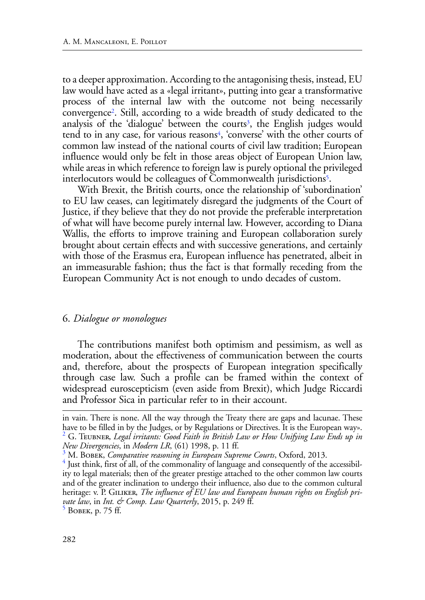to a deeper approximation. According to the antagonising thesis, instead, EU law would have acted as a «legal irritant», putting into gear a transformative process of the internal law with the outcome not being necessarily convergence2. Still, according to a wide breadth of study dedicated to the analysis of the 'dialogue' between the courts<sup>3</sup>, the English judges would tend to in any case, for various reasons<sup>4</sup>, 'converse' with the other courts of common law instead of the national courts of civil law tradition; European influence would only be felt in those areas object of European Union law, while areas in which reference to foreign law is purely optional the privileged interlocutors would be colleagues of Commonwealth jurisdictions<sup>5</sup>.

With Brexit, the British courts, once the relationship of 'subordination' to EU law ceases, can legitimately disregard the judgments of the Court of Justice, if they believe that they do not provide the preferable interpretation of what will have become purely internal law. However, according to Diana Wallis, the efforts to improve training and European collaboration surely brought about certain effects and with successive generations, and certainly with those of the Erasmus era, European influence has penetrated, albeit in an immeasurable fashion; thus the fact is that formally receding from the European Community Act is not enough to undo decades of custom.

### 6. *Dialogue or monologues*

The contributions manifest both optimism and pessimism, as well as moderation, about the effectiveness of communication between the courts and, therefore, about the prospects of European integration specifically through case law. Such a profile can be framed within the context of widespread euroscepticism (even aside from Brexit), which Judge Riccardi and Professor Sica in particular refer to in their account.

in vain. There is none. All the way through the Treaty there are gaps and lacunae. These have to be filled in by the Judges, or by Regulations or Directives. It is the European way».<br><sup>2</sup> G. Teubner, *Legal irritants: Good Faith in British Law or How Unifying Law Ends up in New Divergencies*, in *Modern LR*, (61) 1998, p. 11 ff. <sup>3</sup>

M. Bobek, *Comparative reasoning in European Supreme Courts*, Oxford, 2013.

 $4$  Just think, first of all, of the commonality of language and consequently of the accessibility to legal materials; then of the greater prestige attached to the other common law courts and of the greater inclination to undergo their influence, also due to the common cultural heritage: v. P. GILIKER, *The influence of EU law and European human rights on English private law*, in *Int. & Comp. Law Quarterly*, 2015, p. 249 ff. <sup>5</sup> Bobek, p. 75 ff.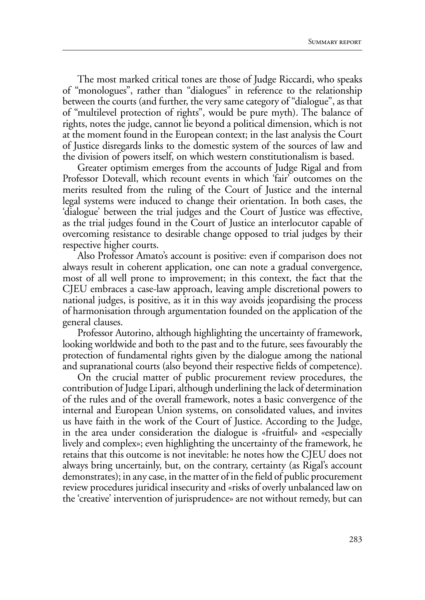The most marked critical tones are those of Judge Riccardi, who speaks of "monologues", rather than "dialogues" in reference to the relationship between the courts (and further, the very same category of "dialogue", as that of "multilevel protection of rights", would be pure myth). The balance of rights, notes the judge, cannot lie beyond a political dimension, which is not at the moment found in the European context; in the last analysis the Court of Justice disregards links to the domestic system of the sources of law and the division of powers itself, on which western constitutionalism is based.

Greater optimism emerges from the accounts of Judge Rigal and from Professor Dotevall, which recount events in which 'fair' outcomes on the merits resulted from the ruling of the Court of Justice and the internal legal systems were induced to change their orientation. In both cases, the 'dialogue' between the trial judges and the Court of Justice was effective, as the trial judges found in the Court of Justice an interlocutor capable of overcoming resistance to desirable change opposed to trial judges by their respective higher courts.

Also Professor Amato's account is positive: even if comparison does not always result in coherent application, one can note a gradual convergence, most of all well prone to improvement; in this context, the fact that the CJEU embraces a case-law approach, leaving ample discretional powers to national judges, is positive, as it in this way avoids jeopardising the process of harmonisation through argumentation founded on the application of the general clauses.

Professor Autorino, although highlighting the uncertainty of framework, looking worldwide and both to the past and to the future, sees favourably the protection of fundamental rights given by the dialogue among the national and supranational courts (also beyond their respective fields of competence).

On the crucial matter of public procurement review procedures, the contribution of Judge Lipari, although underlining the lack of determination of the rules and of the overall framework, notes a basic convergence of the internal and European Union systems, on consolidated values, and invites us have faith in the work of the Court of Justice. According to the Judge, in the area under consideration the dialogue is «fruitful» and «especially lively and complex»; even highlighting the uncertainty of the framework, he retains that this outcome is not inevitable: he notes how the CJEU does not always bring uncertainly, but, on the contrary, certainty (as Rigal's account demonstrates); in any case, in the matter of in the field of public procurement review procedures juridical insecurity and «risks of overly unbalanced law on the 'creative' intervention of jurisprudence» are not without remedy, but can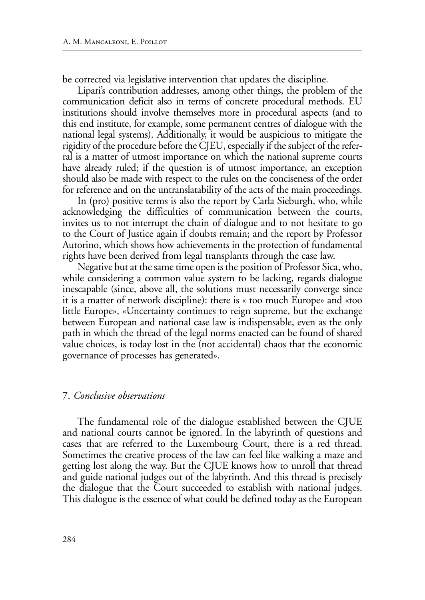be corrected via legislative intervention that updates the discipline.

Lipari's contribution addresses, among other things, the problem of the communication deficit also in terms of concrete procedural methods. EU institutions should involve themselves more in procedural aspects (and to this end institute, for example, some permanent centres of dialogue with the national legal systems). Additionally, it would be auspicious to mitigate the rigidity of the procedure before the CJEU, especially if the subject of the referral is a matter of utmost importance on which the national supreme courts have already ruled; if the question is of utmost importance, an exception should also be made with respect to the rules on the conciseness of the order for reference and on the untranslatability of the acts of the main proceedings.

In (pro) positive terms is also the report by Carla Sieburgh, who, while acknowledging the difficulties of communication between the courts, invites us to not interrupt the chain of dialogue and to not hesitate to go to the Court of Justice again if doubts remain; and the report by Professor Autorino, which shows how achievements in the protection of fundamental rights have been derived from legal transplants through the case law.

Negative but at the same time open is the position of Professor Sica, who, while considering a common value system to be lacking, regards dialogue inescapable (since, above all, the solutions must necessarily converge since it is a matter of network discipline): there is « too much Europe» and «too little Europe», «Uncertainty continues to reign supreme, but the exchange between European and national case law is indispensable, even as the only path in which the thread of the legal norms enacted can be found of shared value choices, is today lost in the (not accidental) chaos that the economic governance of processes has generated».

#### 7. *Conclusive observations*

The fundamental role of the dialogue established between the CJUE and national courts cannot be ignored. In the labyrinth of questions and cases that are referred to the Luxembourg Court, there is a red thread. Sometimes the creative process of the law can feel like walking a maze and getting lost along the way. But the CJUE knows how to unroll that thread and guide national judges out of the labyrinth. And this thread is precisely the dialogue that the Court succeeded to establish with national judges. This dialogue is the essence of what could be defined today as the European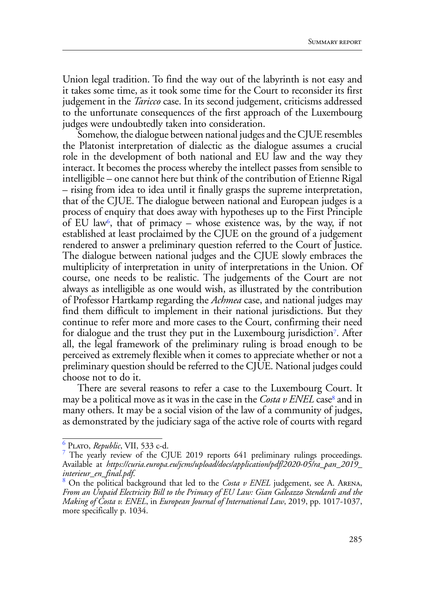Union legal tradition. To find the way out of the labyrinth is not easy and it takes some time, as it took some time for the Court to reconsider its first judgement in the *Taricco* case. In its second judgement, criticisms addressed to the unfortunate consequences of the first approach of the Luxembourg judges were undoubtedly taken into consideration.

Somehow, the dialogue between national judges and the CJUE resembles the Platonist interpretation of dialectic as the dialogue assumes a crucial role in the development of both national and EU law and the way they interact. It becomes the process whereby the intellect passes from sensible to intelligible – one cannot here but think of the contribution of Etienne Rigal – rising from idea to idea until it finally grasps the supreme interpretation, that of the CJUE. The dialogue between national and European judges is a process of enquiry that does away with hypotheses up to the First Principle of EU law<sup>6</sup>, that of primacy – whose existence was, by the way, if not established at least proclaimed by the CJUE on the ground of a judgement rendered to answer a preliminary question referred to the Court of Justice. The dialogue between national judges and the CJUE slowly embraces the multiplicity of interpretation in unity of interpretations in the Union. Of course, one needs to be realistic. The judgements of the Court are not always as intelligible as one would wish, as illustrated by the contribution of Professor Hartkamp regarding the *Achmea* case, and national judges may find them difficult to implement in their national jurisdictions. But they continue to refer more and more cases to the Court, confirming their need for dialogue and the trust they put in the Luxembourg jurisdiction7. After all, the legal framework of the preliminary ruling is broad enough to be perceived as extremely flexible when it comes to appreciate whether or not a preliminary question should be referred to the CJUE. National judges could choose not to do it.

There are several reasons to refer a case to the Luxembourg Court. It may be a political move as it was in the case in the *Costa v ENEL* case<sup>8</sup> and in many others. It may be a social vision of the law of a community of judges, as demonstrated by the judiciary saga of the active role of courts with regard

<sup>6</sup> Plato, *Republic*, VII, 533 c-d.

<sup>&</sup>lt;sup>7</sup> The yearly review of the CJUE 2019 reports 641 preliminary rulings proceedings. Available at *https://curia.europa.eu/jcms/upload/docs/application/pdf/2020-05/ra\_pan\_2019\_ interieur\_en\_final.pdf*. <sup>8</sup>

On the political background that led to the *Costa v ENEL* judgement, see A. Arena, *From an Unpaid Electricity Bill to the Primacy of EU Law: Gian Galeazzo Stendardi and the Making of Costa v. ENEL*, in *European Journal of International Law*, 2019, pp. 1017-1037, more specifically p. 1034.